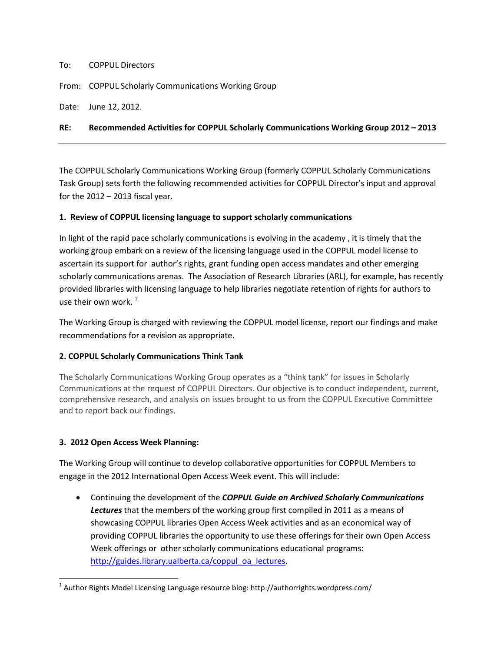#### To: COPPUL Directors

From: COPPUL Scholarly Communications Working Group

Date: June 12, 2012.

#### **RE: Recommended Activities for COPPUL Scholarly Communications Working Group 2012 – 2013**

The COPPUL Scholarly Communications Working Group (formerly COPPUL Scholarly Communications Task Group) sets forth the following recommended activities for COPPUL Director's input and approval for the  $2012 - 2013$  fiscal year.

#### **1. Review of COPPUL licensing language to support scholarly communications**

In light of the rapid pace scholarly communications is evolving in the academy , it is timely that the working group embark on a review of the licensing language used in the COPPUL model license to ascertain its support for author's rights, grant funding open access mandates and other emerging scholarly communications arenas. The Association of Research Libraries (ARL), for example, has recently provided libraries with licensing language to help libraries negotiate retention of rights for authors to use their own work. $1$ 

The Working Group is charged with reviewing the COPPUL model license, report our findings and make recommendations for a revision as appropriate.

### **2. COPPUL Scholarly Communications Think Tank**

The Scholarly Communications Working Group operates as a "think tank" for issues in Scholarly Communications at the request of COPPUL Directors. Our objective is to conduct independent, current, comprehensive research, and analysis on issues brought to us from the COPPUL Executive Committee and to report back our findings.

### **3. 2012 Open Access Week Planning:**

 $\overline{\phantom{a}}$ 

The Working Group will continue to develop collaborative opportunities for COPPUL Members to engage in the 2012 International Open Access Week event. This will include:

 Continuing the development of the *COPPUL Guide on Archived Scholarly Communications Lectures* that the members of the working group first compiled in 2011 as a means of showcasing COPPUL libraries Open Access Week activities and as an economical way of providing COPPUL libraries the opportunity to use these offerings for their own Open Access Week offerings or other scholarly communications educational programs: [http://guides.library.ualberta.ca/coppul\\_oa\\_lectures.](http://guides.library.ualberta.ca/coppul_oa_lectures)

 $^{\text{1}}$  Author Rights Model Licensing Language resource blog: http://authorrights.wordpress.com/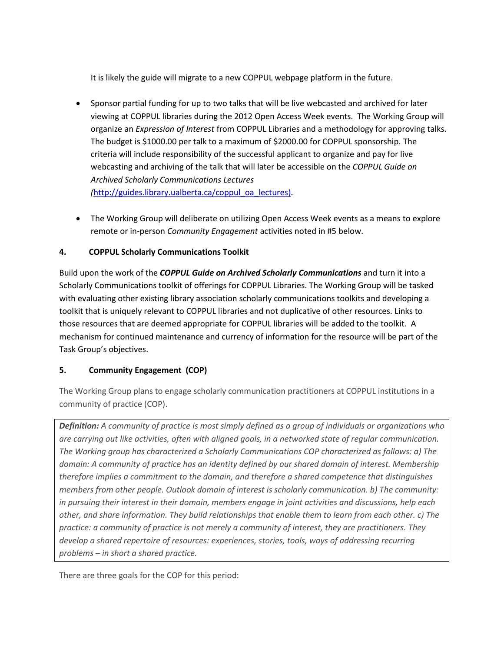It is likely the guide will migrate to a new COPPUL webpage platform in the future.

- Sponsor partial funding for up to two talks that will be live webcasted and archived for later viewing at COPPUL libraries during the 2012 Open Access Week events. The Working Group will organize an *Expression of Interest* from COPPUL Libraries and a methodology for approving talks. The budget is \$1000.00 per talk to a maximum of \$2000.00 for COPPUL sponsorship. The criteria will include responsibility of the successful applicant to organize and pay for live webcasting and archiving of the talk that will later be accessible on the *COPPUL Guide on Archived Scholarly Communications Lectures (*[http://guides.library.ualberta.ca/coppul\\_oa\\_lectures\)](http://guides.library.ualberta.ca/coppul_oa_lectures).
- The Working Group will deliberate on utilizing Open Access Week events as a means to explore remote or in-person *Community Engagement* activities noted in #5 below.

## **4. COPPUL Scholarly Communications Toolkit**

Build upon the work of the *COPPUL Guide on Archived Scholarly Communications* and turn it into a Scholarly Communications toolkit of offerings for COPPUL Libraries. The Working Group will be tasked with evaluating other existing library association scholarly communications toolkits and developing a toolkit that is uniquely relevant to COPPUL libraries and not duplicative of other resources. Links to those resources that are deemed appropriate for COPPUL libraries will be added to the toolkit. A mechanism for continued maintenance and currency of information for the resource will be part of the Task Group's objectives.

# **5. Community Engagement (COP)**

The Working Group plans to engage scholarly communication practitioners at COPPUL institutions in a community of practice (COP).

*Definition: A community of practice is most simply defined as a group of individuals or organizations who are carrying out like activities, often with aligned goals, in a networked state of regular communication. The Working group has characterized a Scholarly Communications COP characterized as follows: a) The domain: A community of practice has an identity defined by our shared domain of interest. Membership therefore implies a commitment to the domain, and therefore a shared competence that distinguishes members from other people. Outlook domain of interest is scholarly communication. b) The community: in pursuing their interest in their domain, members engage in joint activities and discussions, help each other, and share information. They build relationships that enable them to learn from each other. c) The practice: a community of practice is not merely a community of interest, they are practitioners. They develop a shared repertoire of resources: experiences, stories, tools, ways of addressing recurring problems – in short a shared practice.*

There are three goals for the COP for this period: